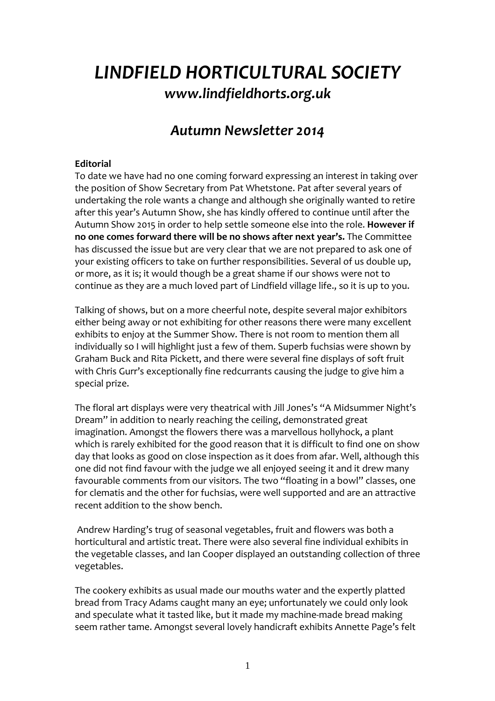# *LINDFIELD HORTICULTURAL SOCIETY www.lindfieldhorts.org.uk*

# *Autumn Newsletter 2014*

# **Editorial**

To date we have had no one coming forward expressing an interest in taking over the position of Show Secretary from Pat Whetstone. Pat after several years of undertaking the role wants a change and although she originally wanted to retire after this year's Autumn Show, she has kindly offered to continue until after the Autumn Show 2015 in order to help settle someone else into the role. **However if no one comes forward there will be no shows after next year's.** The Committee has discussed the issue but are very clear that we are not prepared to ask one of your existing officers to take on further responsibilities. Several of us double up, or more, as it is; it would though be a great shame if our shows were not to continue as they are a much loved part of Lindfield village life., so it is up to you.

Talking of shows, but on a more cheerful note, despite several major exhibitors either being away or not exhibiting for other reasons there were many excellent exhibits to enjoy at the Summer Show. There is not room to mention them all individually so I will highlight just a few of them. Superb fuchsias were shown by Graham Buck and Rita Pickett, and there were several fine displays of soft fruit with Chris Gurr's exceptionally fine redcurrants causing the judge to give him a special prize.

The floral art displays were very theatrical with Jill Jones's "A Midsummer Night's Dream" in addition to nearly reaching the ceiling, demonstrated great imagination. Amongst the flowers there was a marvellous hollyhock, a plant which is rarely exhibited for the good reason that it is difficult to find one on show day that looks as good on close inspection as it does from afar. Well, although this one did not find favour with the judge we all enjoyed seeing it and it drew many favourable comments from our visitors. The two "floating in a bowl" classes, one for clematis and the other for fuchsias, were well supported and are an attractive recent addition to the show bench.

 Andrew Harding's trug of seasonal vegetables, fruit and flowers was both a horticultural and artistic treat. There were also several fine individual exhibits in the vegetable classes, and Ian Cooper displayed an outstanding collection of three vegetables.

The cookery exhibits as usual made our mouths water and the expertly platted bread from Tracy Adams caught many an eye; unfortunately we could only look and speculate what it tasted like, but it made my machine-made bread making seem rather tame. Amongst several lovely handicraft exhibits Annette Page's felt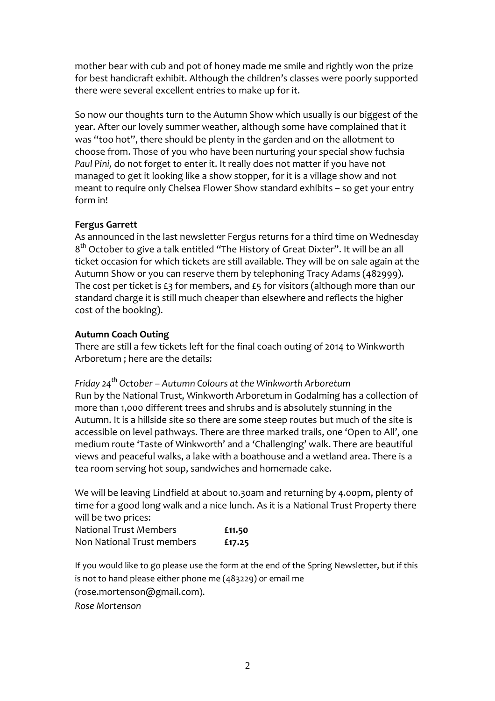mother bear with cub and pot of honey made me smile and rightly won the prize for best handicraft exhibit. Although the children's classes were poorly supported there were several excellent entries to make up for it.

So now our thoughts turn to the Autumn Show which usually is our biggest of the year. After our lovely summer weather, although some have complained that it was "too hot", there should be plenty in the garden and on the allotment to choose from. Those of you who have been nurturing your special show fuchsia *Paul Pini,* do not forget to enter it. It really does not matter if you have not managed to get it looking like a show stopper, for it is a village show and not meant to require only Chelsea Flower Show standard exhibits – so get your entry form in!

# **Fergus Garrett**

As announced in the last newsletter Fergus returns for a third time on Wednesday 8<sup>th</sup> October to give a talk entitled "The History of Great Dixter". It will be an all ticket occasion for which tickets are still available. They will be on sale again at the Autumn Show or you can reserve them by telephoning Tracy Adams (482999). The cost per ticket is  $£3$  for members, and  $£5$  for visitors (although more than our standard charge it is still much cheaper than elsewhere and reflects the higher cost of the booking).

#### **Autumn Coach Outing**

There are still a few tickets left for the final coach outing of 2014 to Winkworth Arboretum ; here are the details:

*Friday 24th October – Autumn Colours at the Winkworth Arboretum*  Run by the National Trust, Winkworth Arboretum in Godalming has a collection of more than 1,000 different trees and shrubs and is absolutely stunning in the Autumn. It is a hillside site so there are some steep routes but much of the site is accessible on level pathways. There are three marked trails, one 'Open to All', one medium route 'Taste of Winkworth' and a 'Challenging' walk. There are beautiful views and peaceful walks, a lake with a boathouse and a wetland area. There is a tea room serving hot soup, sandwiches and homemade cake.

We will be leaving Lindfield at about 10.30am and returning by 4.00pm, plenty of time for a good long walk and a nice lunch. As it is a National Trust Property there will be two prices:

| National Trust Members     | £11.50 |
|----------------------------|--------|
| Non National Trust members | £17.25 |

If you would like to go please use the form at the end of the Spring Newsletter, but if this is not to hand please either phone me (483229) or email me (rose.mortenson@gmail.com).

*Rose Mortenson*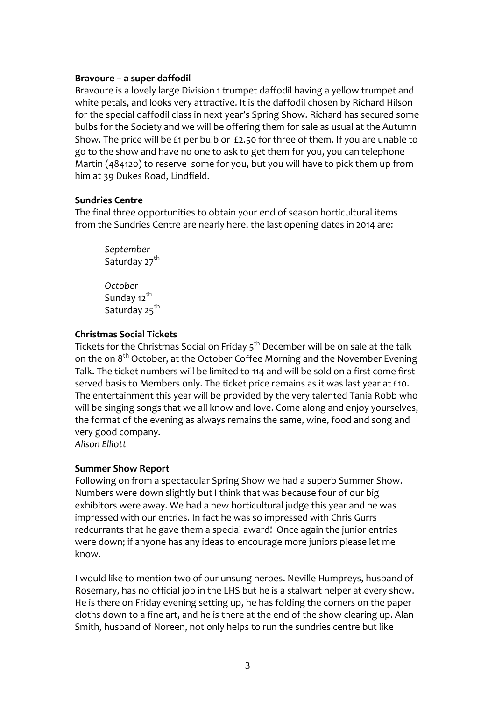#### **Bravoure – a super daffodil**

Bravoure is a lovely large Division 1 trumpet daffodil having a yellow trumpet and white petals, and looks very attractive. It is the daffodil chosen by Richard Hilson for the special daffodil class in next year's Spring Show. Richard has secured some bulbs for the Society and we will be offering them for sale as usual at the Autumn Show. The price will be £1 per bulb or £2.50 for three of them. If you are unable to go to the show and have no one to ask to get them for you, you can telephone Martin (484120) to reserve some for you, but you will have to pick them up from him at 39 Dukes Road, Lindfield.

#### **Sundries Centre**

The final three opportunities to obtain your end of season horticultural items from the Sundries Centre are nearly here, the last opening dates in 2014 are:

*September*  Saturday 27<sup>th</sup> *October*  Sundav 12<sup>th</sup> Saturday 25<sup>th</sup>

# **Christmas Social Tickets**

Tickets for the Christmas Social on Friday 5<sup>th</sup> December will be on sale at the talk on the on  $8<sup>th</sup>$  October, at the October Coffee Morning and the November Evening Talk. The ticket numbers will be limited to 114 and will be sold on a first come first served basis to Members only. The ticket price remains as it was last year at £10. The entertainment this year will be provided by the very talented Tania Robb who will be singing songs that we all know and love. Come along and enjoy yourselves, the format of the evening as always remains the same, wine, food and song and very good company.

*Alison Elliott* 

# **Summer Show Report**

Following on from a spectacular Spring Show we had a superb Summer Show. Numbers were down slightly but I think that was because four of our big exhibitors were away. We had a new horticultural judge this year and he was impressed with our entries. In fact he was so impressed with Chris Gurrs redcurrants that he gave them a special award! Once again the junior entries were down; if anyone has any ideas to encourage more juniors please let me know.

I would like to mention two of our unsung heroes. Neville Humpreys, husband of Rosemary, has no official job in the LHS but he is a stalwart helper at every show. He is there on Friday evening setting up, he has folding the corners on the paper cloths down to a fine art, and he is there at the end of the show clearing up. Alan Smith, husband of Noreen, not only helps to run the sundries centre but like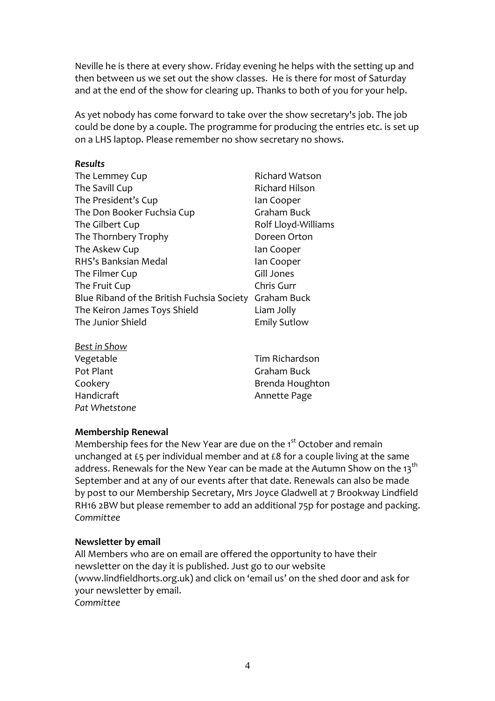Neville he is there at every show. Friday evening he helps with the setting up and then between us we set out the show classes. He is there for most of Saturday and at the end of the show for clearing up. Thanks to both of you for your help.

As yet nobody has come forward to take over the show secretary's job. The job could be done by a couple. The programme for producing the entries etc. is set up on a LHS laptop. Please remember no show secretary no shows.

#### *Results*

| The Lemmey Cup                             | <b>Richard Watson</b> |
|--------------------------------------------|-----------------------|
| The Savill Cup                             | <b>Richard Hilson</b> |
| The President's Cup                        | lan Cooper            |
| The Don Booker Fuchsia Cup                 | Graham Buck           |
| The Gilbert Cup                            | Rolf Lloyd-Williams   |
| The Thornbery Trophy                       | Doreen Orton          |
| The Askew Cup                              | lan Cooper            |
| RHS's Banksian Medal                       | lan Cooper            |
| The Filmer Cup                             | Gill Jones            |
| The Fruit Cup                              | Chris Gurr            |
| Blue Riband of the British Fuchsia Society | Graham Buck           |
| The Keiron James Toys Shield               | Liam Jolly            |
| The Junior Shield                          | <b>Emily Sutlow</b>   |
| <b>Doct in Chouve</b>                      |                       |

| <b>DESCITLOW</b> |                 |
|------------------|-----------------|
| Vegetable        | Tim Richardson  |
| Pot Plant        | Graham Buck     |
| Cookery          | Brenda Houghton |
| Handicraft       | Annette Page    |
| Pat Whetstone    |                 |

# **Membership Renewal**

Membership fees for the New Year are due on the 1<sup>st</sup> October and remain unchanged at £5 per individual member and at £8 for a couple living at the same address. Renewals for the New Year can be made at the Autumn Show on the 13<sup>th</sup> September and at any of our events after that date. Renewals can also be made by post to our Membership Secretary, Mrs Joyce Gladwell at 7 Brookway Lindfield RH16 2BW but please remember to add an additional 75p for postage and packing. *Committee* 

# **Newsletter by email**

All Members who are on email are offered the opportunity to have their newsletter on the day it is published. Just go to our website (www.lindfieldhorts.org.uk) and click on 'email us' on the shed door and ask for your newsletter by email. *Committee*